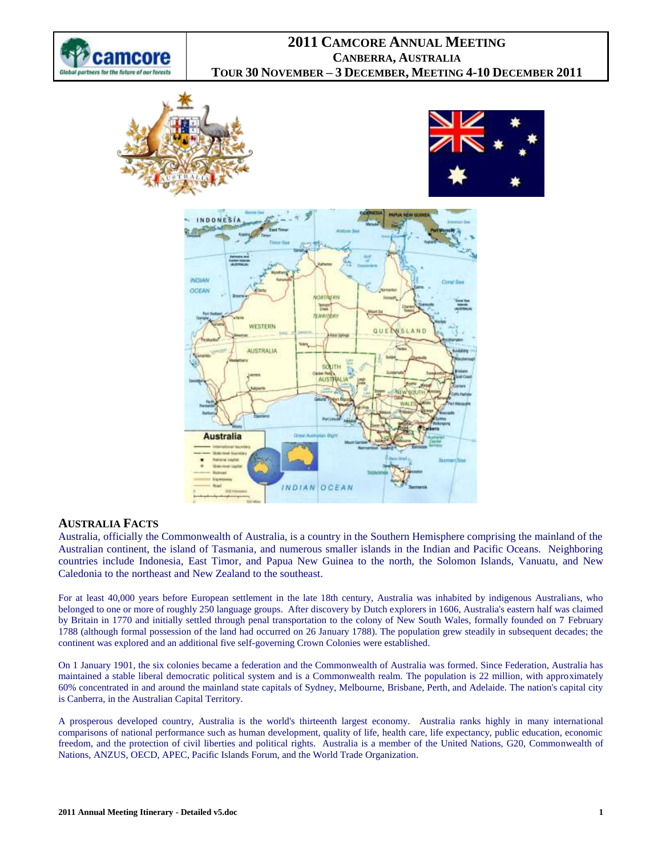







### **AUSTRALIA FACTS**

Australia, officially the Commonwealth of Australia, is a country in the Southern Hemisphere comprising the mainland of the Australian continent, the island of Tasmania, and numerous smaller islands in the Indian and Pacific Oceans. Neighboring countries include Indonesia, East Timor, and Papua New Guinea to the north, the Solomon Islands, Vanuatu, and New Caledonia to the northeast and New Zealand to the southeast.

For at least 40,000 years before European settlement in the late 18th century, Australia was inhabited by indigenous Australians, who belonged to one or more of roughly 250 language groups. After discovery by Dutch explorers in 1606, Australia's eastern half was claimed by Britain in 1770 and initially settled through penal transportation to the colony of New South Wales, formally founded on 7 February 1788 (although formal possession of the land had occurred on 26 January 1788). The population grew steadily in subsequent decades; the continent was explored and an additional five self-governing Crown Colonies were established.

On 1 January 1901, the six colonies became a federation and the Commonwealth of Australia was formed. Since Federation, Australia has maintained a stable liberal democratic political system and is a Commonwealth realm. The population is 22 million, with approximately 60% concentrated in and around the mainland state capitals of Sydney, Melbourne, Brisbane, Perth, and Adelaide. The nation's capital city is Canberra, in the Australian Capital Territory.

A prosperous developed country, Australia is the world's thirteenth largest economy. Australia ranks highly in many international comparisons of national performance such as human development, quality of life, health care, life expectancy, public education, economic freedom, and the protection of civil liberties and political rights. Australia is a member of the United Nations, G20, Commonwealth of Nations, ANZUS, OECD, APEC, Pacific Islands Forum, and the World Trade Organization.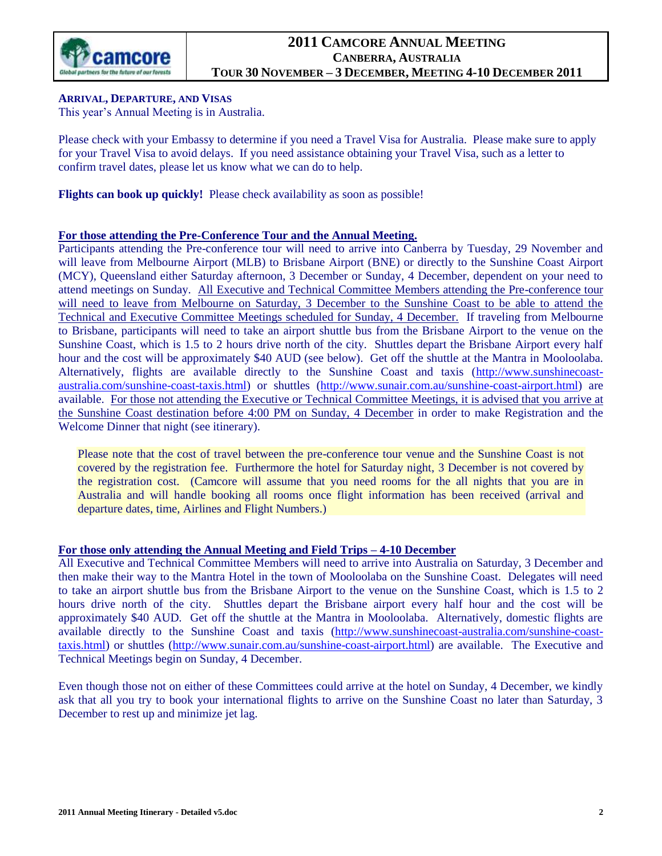

## **ARRIVAL, DEPARTURE, AND VISAS**

This year's Annual Meeting is in Australia.

Please check with your Embassy to determine if you need a Travel Visa for Australia. Please make sure to apply for your Travel Visa to avoid delays. If you need assistance obtaining your Travel Visa, such as a letter to confirm travel dates, please let us know what we can do to help.

**Flights can book up quickly!** Please check availability as soon as possible!

### **For those attending the Pre-Conference Tour and the Annual Meeting.**

Participants attending the Pre-conference tour will need to arrive into Canberra by Tuesday, 29 November and will leave from Melbourne Airport (MLB) to Brisbane Airport (BNE) or directly to the Sunshine Coast Airport (MCY), Queensland either Saturday afternoon, 3 December or Sunday, 4 December, dependent on your need to attend meetings on Sunday. All Executive and Technical Committee Members attending the Pre-conference tour will need to leave from Melbourne on Saturday, 3 December to the Sunshine Coast to be able to attend the Technical and Executive Committee Meetings scheduled for Sunday, 4 December. If traveling from Melbourne to Brisbane, participants will need to take an airport shuttle bus from the Brisbane Airport to the venue on the Sunshine Coast, which is 1.5 to 2 hours drive north of the city. Shuttles depart the Brisbane Airport every half hour and the cost will be approximately \$40 AUD (see below). Get off the shuttle at the Mantra in Mooloolaba. Alternatively, flights are available directly to the Sunshine Coast and taxis [\(http://www.sunshinecoast](http://www.sunshinecoast-australia.com/sunshine-coast-taxis.html)[australia.com/sunshine-coast-taxis.html\)](http://www.sunshinecoast-australia.com/sunshine-coast-taxis.html) or shuttles [\(http://www.sunair.com.au/sunshine-coast-airport.html\)](http://www.sunair.com.au/sunshine-coast-airport.html) are available. For those not attending the Executive or Technical Committee Meetings, it is advised that you arrive at the Sunshine Coast destination before 4:00 PM on Sunday, 4 December in order to make Registration and the Welcome Dinner that night (see itinerary).

Please note that the cost of travel between the pre-conference tour venue and the Sunshine Coast is not covered by the registration fee. Furthermore the hotel for Saturday night, 3 December is not covered by the registration cost. (Camcore will assume that you need rooms for the all nights that you are in Australia and will handle booking all rooms once flight information has been received (arrival and departure dates, time, Airlines and Flight Numbers.)

### **For those only attending the Annual Meeting and Field Trips – 4-10 December**

All Executive and Technical Committee Members will need to arrive into Australia on Saturday, 3 December and then make their way to the Mantra Hotel in the town of Mooloolaba on the Sunshine Coast. Delegates will need to take an airport shuttle bus from the Brisbane Airport to the venue on the Sunshine Coast, which is 1.5 to 2 hours drive north of the city. Shuttles depart the Brisbane airport every half hour and the cost will be approximately \$40 AUD. Get off the shuttle at the Mantra in Mooloolaba. Alternatively, domestic flights are available directly to the Sunshine Coast and taxis [\(http://www.sunshinecoast-australia.com/sunshine-coast](http://www.sunshinecoast-australia.com/sunshine-coast-taxis.html)[taxis.html\)](http://www.sunshinecoast-australia.com/sunshine-coast-taxis.html) or shuttles [\(http://www.sunair.com.au/sunshine-coast-airport.html\)](http://www.sunair.com.au/sunshine-coast-airport.html) are available. The Executive and Technical Meetings begin on Sunday, 4 December.

Even though those not on either of these Committees could arrive at the hotel on Sunday, 4 December, we kindly ask that all you try to book your international flights to arrive on the Sunshine Coast no later than Saturday, 3 December to rest up and minimize jet lag.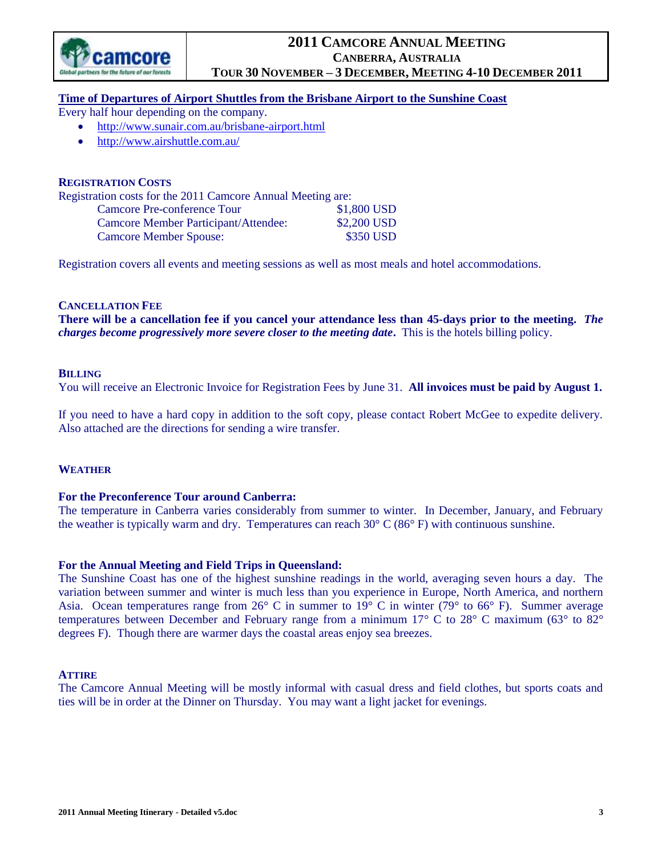

### **Time of Departures of Airport Shuttles from the Brisbane Airport to the Sunshine Coast**

Every half hour depending on the company.

- <http://www.sunair.com.au/brisbane-airport.html>
- <http://www.airshuttle.com.au/>

#### **REGISTRATION COSTS**

Registration costs for the 2011 Camcore Annual Meeting are:

| Camcore Pre-conference Tour          | \$1,800 USD |
|--------------------------------------|-------------|
| Camcore Member Participant/Attendee: | \$2,200 USD |
| <b>Camcore Member Spouse:</b>        | \$350 USD   |

Registration covers all events and meeting sessions as well as most meals and hotel accommodations.

#### **CANCELLATION FEE**

**There will be a cancellation fee if you cancel your attendance less than 45-days prior to the meeting.** *The charges become progressively more severe closer to the meeting date***.** This is the hotels billing policy.

#### **BILLING**

You will receive an Electronic Invoice for Registration Fees by June 31. **All invoices must be paid by August 1.**

If you need to have a hard copy in addition to the soft copy, please contact Robert McGee to expedite delivery. Also attached are the directions for sending a wire transfer.

### **WEATHER**

#### **For the Preconference Tour around Canberra:**

The temperature in Canberra varies considerably from summer to winter. In December, January, and February the weather is typically warm and dry. Temperatures can reach  $30^{\circ}$  C (86 $^{\circ}$  F) with continuous sunshine.

### **For the Annual Meeting and Field Trips in Queensland:**

The Sunshine Coast has one of the highest sunshine readings in the world, averaging seven hours a day. The variation between summer and winter is much less than you experience in Europe, North America, and northern Asia. Ocean temperatures range from 26° C in summer to 19° C in winter (79° to 66° F). Summer average temperatures between December and February range from a minimum 17° C to 28° C maximum (63° to 82° degrees F). Though there are warmer days the coastal areas enjoy sea breezes.

### **ATTIRE**

The Camcore Annual Meeting will be mostly informal with casual dress and field clothes, but sports coats and ties will be in order at the Dinner on Thursday. You may want a light jacket for evenings.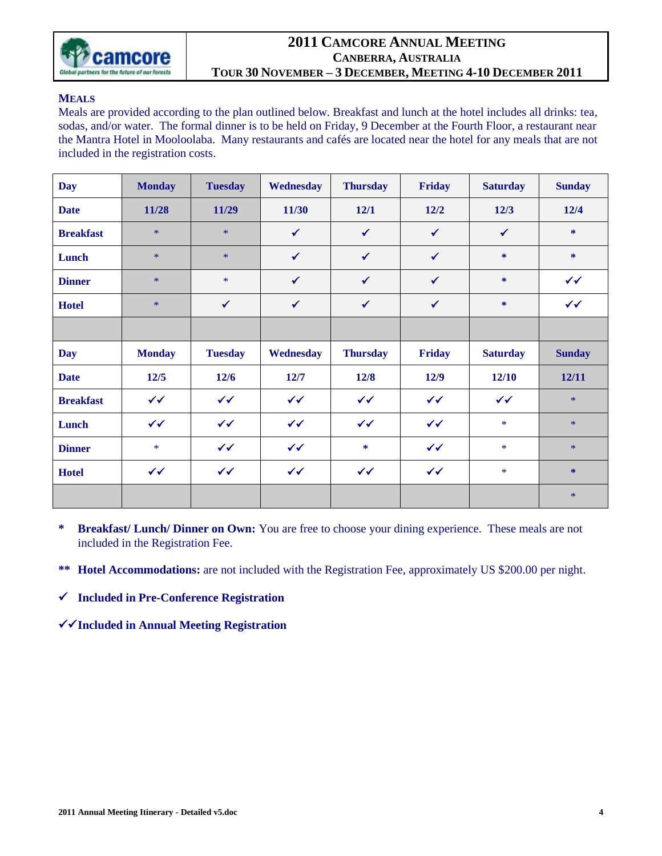

### **MEALS**

Meals are provided according to the plan outlined below. Breakfast and lunch at the hotel includes all drinks: tea, sodas, and/or water. The formal dinner is to be held on Friday, 9 December at the Fourth Floor, a restaurant near the Mantra Hotel in Mooloolaba. Many restaurants and cafés are located near the hotel for any meals that are not included in the registration costs.

| <b>Day</b>       | <b>Monday</b> | <b>Tuesday</b> | Wednesday    | <b>Thursday</b> | Friday       | <b>Saturday</b> | <b>Sunday</b> |
|------------------|---------------|----------------|--------------|-----------------|--------------|-----------------|---------------|
| <b>Date</b>      | 11/28         | 11/29          | 11/30        | 12/1            | $12/2$       | $12/3$          | 12/4          |
| <b>Breakfast</b> | $*$           | $*$            | $\checkmark$ | $\checkmark$    | $\checkmark$ | $\checkmark$    | *             |
| Lunch            | $*$           | $*$            | $\checkmark$ | $\checkmark$    | $\checkmark$ | $\ast$          | *             |
| <b>Dinner</b>    | $\ast$        | $\ast$         | $\checkmark$ | $\checkmark$    | $\checkmark$ | *               | $\checkmark$  |
| <b>Hotel</b>     | $*$           | $\checkmark$   | $\checkmark$ | $\checkmark$    | $\checkmark$ | $\ast$          | $\checkmark$  |
|                  |               |                |              |                 |              |                 |               |
|                  |               |                |              |                 |              |                 |               |
| Day              | <b>Monday</b> | <b>Tuesday</b> | Wednesday    | <b>Thursday</b> | Friday       | <b>Saturday</b> | <b>Sunday</b> |
| <b>Date</b>      | $12/5$        | $12/6$         | 12/7         | 12/8            | 12/9         | 12/10           | 12/11         |
| <b>Breakfast</b> | $\checkmark$  | $\checkmark$   | $\checkmark$ | $\checkmark$    | $\checkmark$ | $\checkmark$    | $\ast$        |
| Lunch            | $\checkmark$  | $\checkmark$   | $\checkmark$ | $\checkmark$    | $\checkmark$ | $\ast$          | $\ast$        |
| <b>Dinner</b>    | $\ast$        | $\checkmark$   | $\checkmark$ | *               | $\checkmark$ | $*$             | $*$           |
| <b>Hotel</b>     | $\checkmark$  | $\checkmark$   | $\checkmark$ | $\checkmark$    | $\checkmark$ | $*$             | $\ast$        |

**\* Breakfast/ Lunch/ Dinner on Own:** You are free to choose your dining experience. These meals are not included in the Registration Fee.

**\*\* Hotel Accommodations:** are not included with the Registration Fee, approximately US \$200.00 per night.

**Included in Pre-Conference Registration**

**Included in Annual Meeting Registration**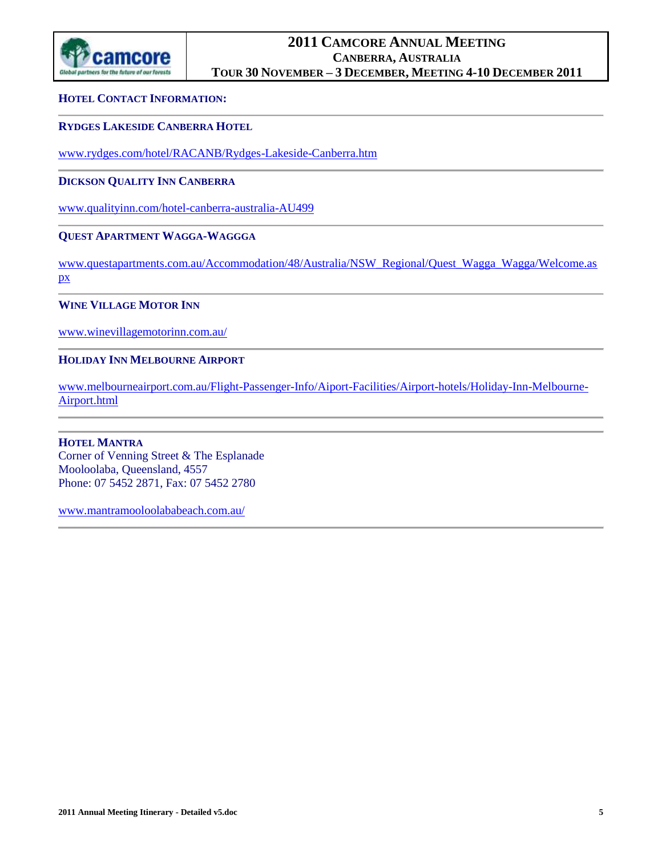

### **HOTEL CONTACT INFORMATION:**

### **RYDGES LAKESIDE CANBERRA HOTEL**

[www.rydges.com/hotel/RACANB/Rydges-Lakeside-Canberra.htm](http://www.rydges.com/hotel/RACANB/Rydges-Lakeside-Canberra.htm)

### **DICKSON QUALITY INN CANBERRA**

[www.qualityinn.com/hotel-canberra-australia-AU499](http://www.qualityinn.com/hotel-canberra-australia-AU499)

### **QUEST APARTMENT WAGGA-WAGGGA**

[www.questapartments.com.au/Accommodation/48/Australia/NSW\\_Regional/Quest\\_Wagga\\_Wagga/Welcome.as](http://www.questapartments.com.au/Accommodation/48/Australia/NSW_Regional/Quest_Wagga_Wagga/Welcome.aspx) [px](http://www.questapartments.com.au/Accommodation/48/Australia/NSW_Regional/Quest_Wagga_Wagga/Welcome.aspx)

### **WINE VILLAGE MOTOR INN**

[www.winevillagemotorinn.com.au/](http://www.winevillagemotorinn.com.au/)

### **HOLIDAY INN MELBOURNE AIRPORT**

[www.melbourneairport.com.au/Flight-Passenger-Info/Aiport-Facilities/Airport-hotels/Holiday-Inn-Melbourne-](http://www.melbourneairport.com.au/Flight-Passenger-Info/Aiport-Facilities/Airport-hotels/Holiday-Inn-Melbourne-Airport.html)[Airport.html](http://www.melbourneairport.com.au/Flight-Passenger-Info/Aiport-Facilities/Airport-hotels/Holiday-Inn-Melbourne-Airport.html)

### **HOTEL MANTRA** Corner of Venning Street & The Esplanade Mooloolaba, Queensland, 4557 Phone: 07 5452 2871, Fax: 07 5452 2780

[www.mantramooloolababeach.com.au/](http://www.mantramooloolababeach.com.au/)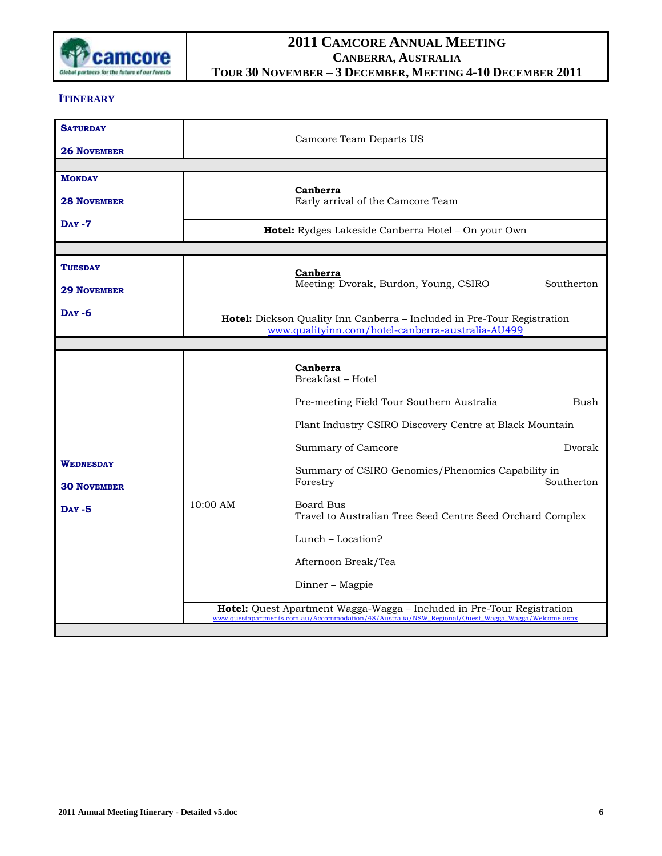

### **ITINERARY**

| <b>SATURDAY</b>                        |            | Camcore Team Departs US                                                                                                                                                     |
|----------------------------------------|------------|-----------------------------------------------------------------------------------------------------------------------------------------------------------------------------|
| <b>26 NOVEMBER</b>                     |            |                                                                                                                                                                             |
| <b>MONDAY</b><br><b>28 NOVEMBER</b>    |            | Canberra<br>Early arrival of the Camcore Team                                                                                                                               |
| <b>DAY-7</b>                           |            | Hotel: Rydges Lakeside Canberra Hotel - On your Own                                                                                                                         |
|                                        |            |                                                                                                                                                                             |
| TUESDAY<br><b>29 NOVEMBER</b>          |            | Canberra<br>Meeting: Dvorak, Burdon, Young, CSIRO<br>Southerton                                                                                                             |
| <b>DAY -6</b>                          |            | Hotel: Dickson Quality Inn Canberra - Included in Pre-Tour Registration                                                                                                     |
|                                        |            | www.qualityinn.com/hotel-canberra-australia-AU499                                                                                                                           |
|                                        |            | Canberra<br>Breakfast - Hotel                                                                                                                                               |
|                                        |            | Pre-meeting Field Tour Southern Australia<br>Bush                                                                                                                           |
|                                        |            | Plant Industry CSIRO Discovery Centre at Black Mountain                                                                                                                     |
|                                        |            | Summary of Camcore<br>Dvorak                                                                                                                                                |
| <b>WEDNESDAY</b><br><b>30 NOVEMBER</b> |            | Summary of CSIRO Genomics/Phenomics Capability in<br>Southerton<br>Forestry                                                                                                 |
| <b>DAY -5</b>                          | $10:00$ AM | Board Bus<br>Travel to Australian Tree Seed Centre Seed Orchard Complex                                                                                                     |
|                                        |            | Lunch – Location?                                                                                                                                                           |
|                                        |            | Afternoon Break/Tea                                                                                                                                                         |
|                                        |            | Dinner - Magpie                                                                                                                                                             |
|                                        |            | Hotel: Quest Apartment Wagga-Wagga - Included in Pre-Tour Registration<br>www.questapartments.com.au/Accommodation/48/Australia/NSW_Regional/Quest_Wagga_Wagga/Welcome.aspx |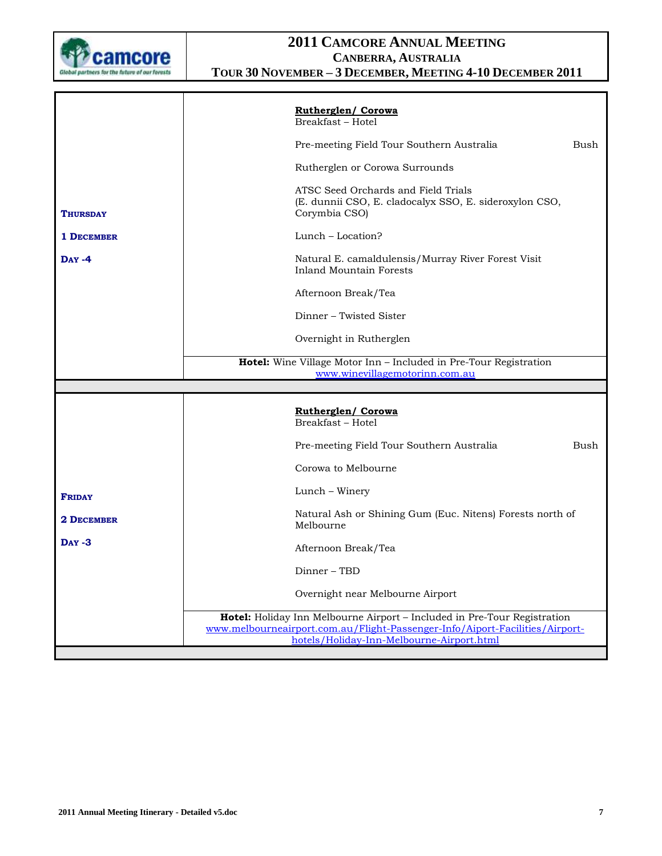

|                   |           | <b>Rutherglen/ Corowa</b><br>Breakfast - Hotel                                                                                                                                                        |      |
|-------------------|-----------|-------------------------------------------------------------------------------------------------------------------------------------------------------------------------------------------------------|------|
|                   |           | Pre-meeting Field Tour Southern Australia                                                                                                                                                             | Bush |
|                   |           | Rutherglen or Corowa Surrounds                                                                                                                                                                        |      |
| <b>THURSDAY</b>   |           | ATSC Seed Orchards and Field Trials<br>(E. dunnii CSO, E. cladocalyx SSO, E. sideroxylon CSO,<br>Corymbia CSO)                                                                                        |      |
| <b>1 DECEMBER</b> |           | $Lunch - Location?$                                                                                                                                                                                   |      |
| $Day -4$          |           | Natural E. camaldulensis/Murray River Forest Visit<br>Inland Mountain Forests                                                                                                                         |      |
|                   |           | Afternoon Break/Tea                                                                                                                                                                                   |      |
|                   |           | Dinner – Twisted Sister                                                                                                                                                                               |      |
|                   |           | Overnight in Rutherglen                                                                                                                                                                               |      |
|                   |           | Hotel: Wine Village Motor Inn - Included in Pre-Tour Registration                                                                                                                                     |      |
|                   |           | www.winevillagemotorinn.com.au                                                                                                                                                                        |      |
|                   |           | <b>Rutherglen/ Corowa</b><br>Breakfast - Hotel                                                                                                                                                        |      |
|                   |           | Pre-meeting Field Tour Southern Australia                                                                                                                                                             | Bush |
|                   |           | Corowa to Melbourne                                                                                                                                                                                   |      |
| <b>FRIDAY</b>     |           | Lunch – Winery                                                                                                                                                                                        |      |
| <b>2 DECEMBER</b> | Melbourne | Natural Ash or Shining Gum (Euc. Nitens) Forests north of                                                                                                                                             |      |
| $Day -3$          |           | Afternoon Break/Tea                                                                                                                                                                                   |      |
|                   |           | Dinner – TBD                                                                                                                                                                                          |      |
|                   |           | Overnight near Melbourne Airport                                                                                                                                                                      |      |
|                   |           | Hotel: Holiday Inn Melbourne Airport - Included in Pre-Tour Registration<br>www.melbourneairport.com.au/Flight-Passenger-Info/Aiport-Facilities/Airport-<br>hotels/Holiday-Inn-Melbourne-Airport.html |      |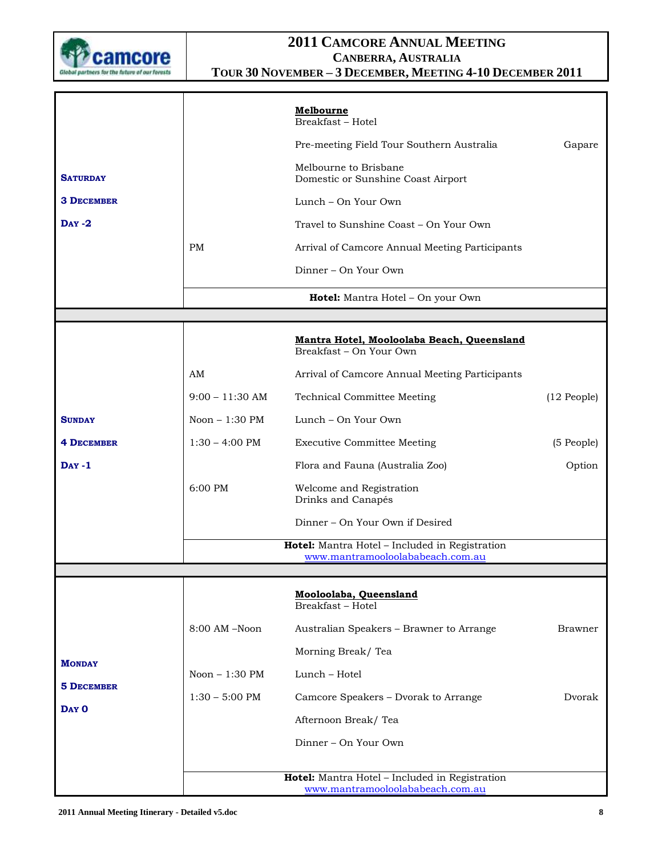

|                    |                          | <b>Melbourne</b><br>Breakfast - Hotel                                              |                  |
|--------------------|--------------------------|------------------------------------------------------------------------------------|------------------|
|                    |                          | Pre-meeting Field Tour Southern Australia                                          | Gapare           |
| <b>SATURDAY</b>    |                          | Melbourne to Brisbane<br>Domestic or Sunshine Coast Airport                        |                  |
| <b>3 DECEMBER</b>  |                          | Lunch – On Your Own                                                                |                  |
| $\mathbf{DAY} - 2$ |                          | Travel to Sunshine Coast - On Your Own                                             |                  |
|                    | <b>PM</b>                | Arrival of Camcore Annual Meeting Participants                                     |                  |
|                    |                          | Dinner – On Your Own                                                               |                  |
|                    |                          | Hotel: Mantra Hotel - On your Own                                                  |                  |
|                    |                          |                                                                                    |                  |
|                    |                          | Mantra Hotel, Mooloolaba Beach, Queensland<br>Breakfast - On Your Own              |                  |
|                    | AM                       | Arrival of Camcore Annual Meeting Participants                                     |                  |
|                    | $9:00 - 11:30$ AM        | <b>Technical Committee Meeting</b>                                                 | $(12$ People $)$ |
| <b>SUNDAY</b>      | Noon - 1:30 PM           | Lunch – On Your Own                                                                |                  |
| <b>4 DECEMBER</b>  | $1:30 - 4:00 \text{ PM}$ | <b>Executive Committee Meeting</b>                                                 | (5 People)       |
| $Day -1$           |                          | Flora and Fauna (Australia Zoo)                                                    | Option           |
|                    | 6:00 PM                  | Welcome and Registration<br>Drinks and Canapés                                     |                  |
|                    |                          | Dinner – On Your Own if Desired                                                    |                  |
|                    |                          | Hotel: Mantra Hotel - Included in Registration<br>www.mantramooloolababeach.com.au |                  |
|                    |                          |                                                                                    |                  |
|                    |                          | Mooloolaba, Queensland<br>Breakfast - Hotel                                        |                  |
|                    | $8:00$ AM $-N$ oon       | Australian Speakers - Brawner to Arrange                                           | Brawner          |
| <b>MONDAY</b>      |                          | Morning Break/Tea                                                                  |                  |
| <b>5 DECEMBER</b>  | Noon $-1:30$ PM          | Lunch - Hotel                                                                      |                  |
| DAY O              | $1:30 - 5:00$ PM         | Camcore Speakers - Dvorak to Arrange                                               | Dvorak           |
|                    |                          | Afternoon Break/Tea                                                                |                  |
|                    |                          | Dinner – On Your Own                                                               |                  |
|                    |                          | Hotel: Mantra Hotel - Included in Registration                                     |                  |
|                    |                          | www.mantramooloolababeach.com.au                                                   |                  |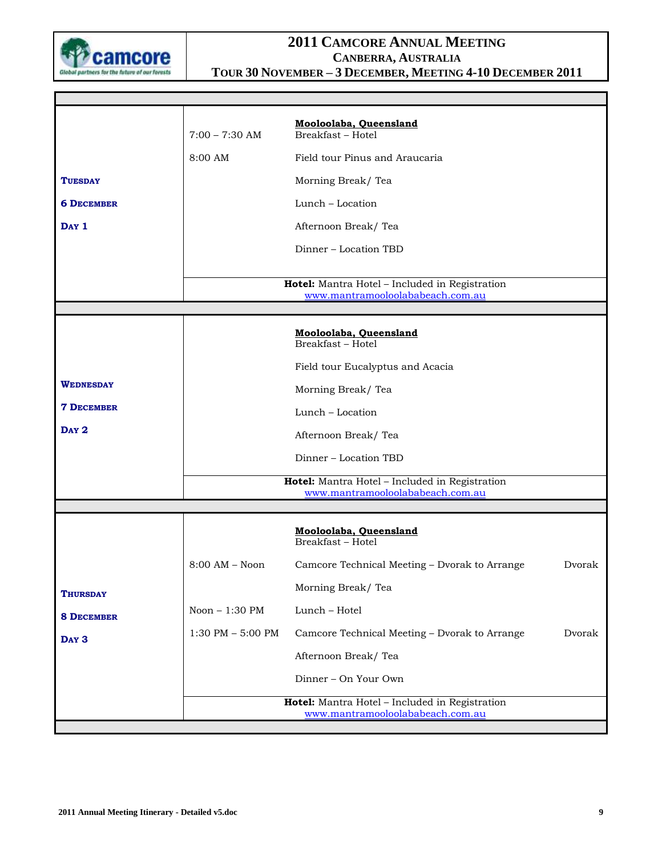

Г

| $7:00 - 7:30$ AM     | Mooloolaba, Queensland<br>Breakfast - Hotel   |                                                                                                                                                                                        |
|----------------------|-----------------------------------------------|----------------------------------------------------------------------------------------------------------------------------------------------------------------------------------------|
| 8:00 AM              | Field tour Pinus and Araucaria                |                                                                                                                                                                                        |
|                      | Morning Break/Tea                             |                                                                                                                                                                                        |
|                      | Lunch - Location                              |                                                                                                                                                                                        |
|                      | Afternoon Break/Tea                           |                                                                                                                                                                                        |
|                      | Dinner – Location TBD                         |                                                                                                                                                                                        |
|                      | www.mantramooloolababeach.com.au              |                                                                                                                                                                                        |
|                      |                                               |                                                                                                                                                                                        |
|                      | Mooloolaba, Queensland<br>Breakfast - Hotel   |                                                                                                                                                                                        |
|                      | Field tour Eucalyptus and Acacia              |                                                                                                                                                                                        |
|                      | Morning Break/Tea                             |                                                                                                                                                                                        |
|                      | Lunch - Location                              |                                                                                                                                                                                        |
|                      | Afternoon Break/Tea                           |                                                                                                                                                                                        |
|                      | Dinner - Location TBD                         |                                                                                                                                                                                        |
|                      |                                               |                                                                                                                                                                                        |
|                      |                                               |                                                                                                                                                                                        |
|                      |                                               |                                                                                                                                                                                        |
|                      | Mooloolaba, Queensland<br>Breakfast - Hotel   |                                                                                                                                                                                        |
| $8:00$ AM $-$ Noon   | Camcore Technical Meeting - Dvorak to Arrange | Dvorak                                                                                                                                                                                 |
|                      | Morning Break/Tea                             |                                                                                                                                                                                        |
| Noon - 1:30 PM       | Lunch - Hotel                                 |                                                                                                                                                                                        |
| $1:30$ PM $-5:00$ PM | Camcore Technical Meeting - Dvorak to Arrange | Dvorak                                                                                                                                                                                 |
|                      | Afternoon Break/Tea                           |                                                                                                                                                                                        |
|                      | Dinner - On Your Own                          |                                                                                                                                                                                        |
|                      | www.mantramooloolababeach.com.au              |                                                                                                                                                                                        |
|                      |                                               | Hotel: Mantra Hotel - Included in Registration<br>Hotel: Mantra Hotel - Included in Registration<br>www.mantramooloolababeach.com.au<br>Hotel: Mantra Hotel - Included in Registration |